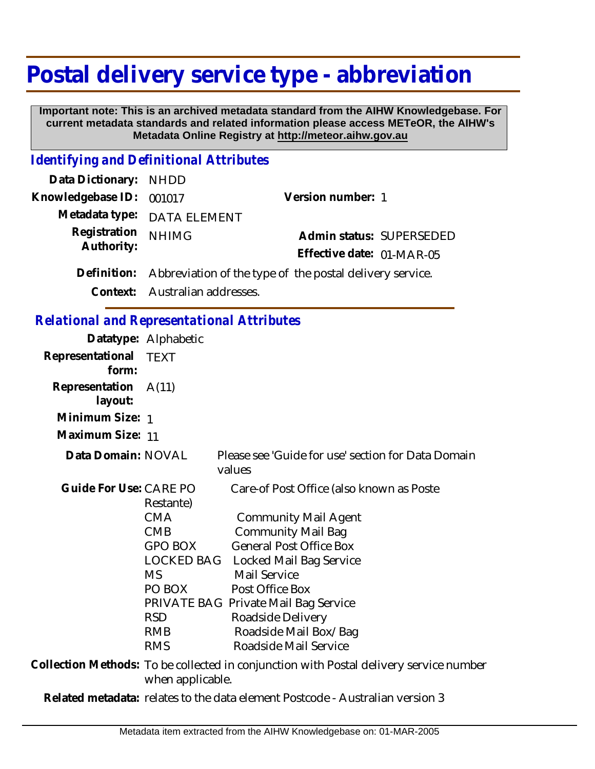## **Postal delivery service type - abbreviation**

 **Important note: This is an archived metadata standard from the AIHW Knowledgebase. For current metadata standards and related information please access METeOR, the AIHW's Metadata Online Registry at http://meteor.aihw.gov.au**

## *Identifying and Definitional Attributes*

| Data Dictionary: NHDD    |                                                                      |                           |  |
|--------------------------|----------------------------------------------------------------------|---------------------------|--|
| Knowledgebase ID: 001017 |                                                                      | Version number: 1         |  |
|                          | Metadata type: DATA ELEMENT                                          |                           |  |
| Registration             | <b>NHIMG</b>                                                         | Admin status: SUPERSEDED  |  |
| Authority:               |                                                                      | Effective date: 01-MAR-05 |  |
|                          | Definition: Abbreviation of the type of the postal delivery service. |                           |  |

**Context:** Australian addresses.

## *Relational and Representational Attributes*

| noidheile and nopresentational rith is dies |                                                                                                      |                                                                                                                                                                                                                                                                                                                                |
|---------------------------------------------|------------------------------------------------------------------------------------------------------|--------------------------------------------------------------------------------------------------------------------------------------------------------------------------------------------------------------------------------------------------------------------------------------------------------------------------------|
|                                             | Datatype: Alphabetic                                                                                 |                                                                                                                                                                                                                                                                                                                                |
| Representational<br>form:                   | TEXT                                                                                                 |                                                                                                                                                                                                                                                                                                                                |
| Representation A(11)<br>layout:             |                                                                                                      |                                                                                                                                                                                                                                                                                                                                |
| Minimum Size: 1                             |                                                                                                      |                                                                                                                                                                                                                                                                                                                                |
| Maximum Size: 11                            |                                                                                                      |                                                                                                                                                                                                                                                                                                                                |
| Data Domain: NOVAL                          |                                                                                                      | Please see 'Guide for use' section for Data Domain<br>values                                                                                                                                                                                                                                                                   |
| Guide For Use: CARE PO                      | Restante)<br><b>CMA</b><br><b>CMB</b><br>GPO BOX<br>MS.<br>PO BOX<br><b>RSD</b><br>RMB<br><b>RMS</b> | Care-of Post Office (also known as Poste<br><b>Community Mail Agent</b><br><b>Community Mail Bag</b><br><b>General Post Office Box</b><br>LOCKED BAG Locked Mail Bag Service<br>Mail Service<br>Post Office Box<br>PRIVATE BAG Private Mail Bag Service<br>Roadside Delivery<br>Roadside Mail Box/Bag<br>Roadside Mail Service |
|                                             | when applicable.                                                                                     | Collection Methods: To be collected in conjunction with Postal delivery service number                                                                                                                                                                                                                                         |

**Related metadata:** relates to the data element Postcode - Australian version 3